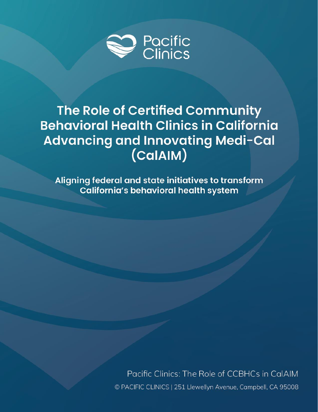

# The Role of Certified Community **Behavioral Health Clinics in California** Advancing and Innovating Medi-Cal (CalAIM)

Aligning federal and state initiatives to transform California's behavioral health system

> Pacific Clinics: The Role of CCBHCs in CalAIM © PACIFIC CLINICS | 251 Llewellyn Avenue, Campbell, CA 95008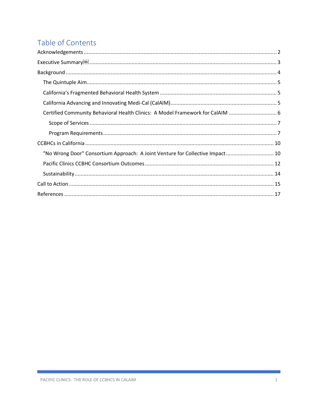## Table of Contents

| Executive Summary                                                              |
|--------------------------------------------------------------------------------|
|                                                                                |
|                                                                                |
|                                                                                |
|                                                                                |
| Certified Community Behavioral Health Clinics: A Model Framework for CalAIM  6 |
|                                                                                |
|                                                                                |
|                                                                                |
| "No Wrong Door" Consortium Approach: A Joint Venture for Collective Impact 10  |
|                                                                                |
|                                                                                |
|                                                                                |
|                                                                                |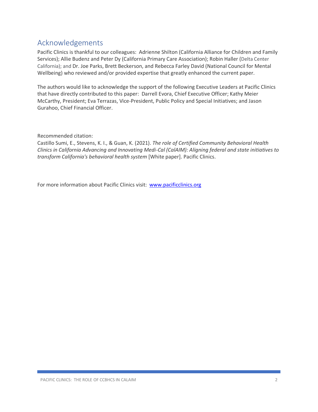### <span id="page-2-0"></span>Acknowledgements

Pacific Clinics is thankful to our colleagues: Adrienne Shilton (California Alliance for Children and Family Services); Allie Budenz and Peter Dy (California Primary Care Association); Robin Haller (Delta Center California); and Dr. Joe Parks, Brett Beckerson, and Rebecca Farley David (National Council for Mental Wellbeing) who reviewed and/or provided expertise that greatly enhanced the current paper.

The authors would like to acknowledge the support of the following Executive Leaders at Pacific Clinics that have directly contributed to this paper: Darrell Evora, Chief Executive Officer; Kathy Meier McCarthy, President; Eva Terrazas, Vice-President, Public Policy and Special Initiatives; and Jason Gurahoo, Chief Financial Officer.

Recommended citation:

Castillo Sumi, E., Stevens, K. I., & Guan, K. (2021). *The role of Certified Community Behavioral Health Clinics in California Advancing and Innovating Medi-Cal (CalAIM): Aligning federal and state initiatives to transform California's behavioral health system* [White paper]. Pacific Clinics.

For more information about Pacific Clinics visit: [www.pacificclinics.org](http://www.pacificclinics.org/)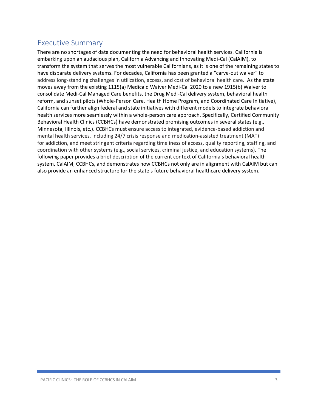### <span id="page-3-0"></span>Executive Summary

There are no shortages of data documenting the need for behavioral health services. California is embarking upon an audacious plan, California Advancing and Innovating Medi-Cal (CalAIM), to transform the system that serves the most vulnerable Californians, as it is one of the remaining states to have disparate delivery systems. For decades, California has been granted a "carve-out waiver" to address long-standing challenges in utilization, access, and cost of behavioral health care. As the state moves away from the existing 1115(a) Medicaid Waiver Medi-Cal 2020 to a new 1915(b) Waiver to consolidate Medi-Cal Managed Care benefits, the Drug Medi-Cal delivery system, behavioral health reform, and sunset pilots (Whole-Person Care, Health Home Program, and Coordinated Care Initiative), California can further align federal and state initiatives with different models to integrate behavioral health services more seamlessly within a whole-person care approach. Specifically, Certified Community Behavioral Health Clinics (CCBHCs) have demonstrated promising outcomes in several states (e.g., Minnesota, Illinois, etc.). CCBHCs must ensure access to integrated, evidence-based addiction and mental health services, including 24/7 crisis response and medication-assisted treatment (MAT) for addiction, and meet stringent criteria regarding timeliness of access, quality reporting, staffing, and coordination with other systems (e.g., social services, criminal justice, and education systems). The following paper provides a brief description of the current context of California's behavioral health system, CalAIM, CCBHCs, and demonstrates how CCBHCs not only are in alignment with CalAIM but can also provide an enhanced structure for the state's future behavioral healthcare delivery system.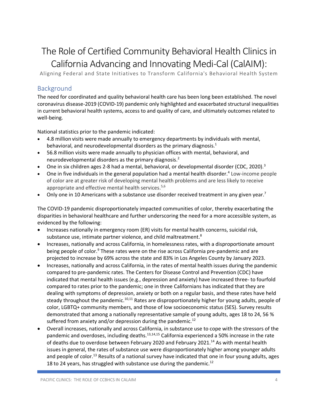# The Role of Certified Community Behavioral Health Clinics in California Advancing and Innovating Medi-Cal (CalAIM):

Aligning Federal and State Initiatives to Transform California's Behavioral Health System

### <span id="page-4-0"></span>Background

The need for coordinated and quality behavioral health care has been long been established. The novel coronavirus disease-2019 (COVID-19) pandemic only highlighted and exacerbated structural inequalities in current behavioral health systems, access to and quality of care, and ultimately outcomes related to well-being.

National statistics prior to the pandemic indicated:

- 4.8 million visits were made annually to emergency departments by individuals with mental, behavioral, and neurodevelopmental disorders as the primary diagnosis.<sup>1</sup>
- 56.8 million visits were made annually to physician offices with mental, behavioral, and neurodevelopmental disorders as the primary diagnosis.<sup>2</sup>
- One in six children ages 2-8 had a mental, behavioral, or developmental disorder (CDC, 2020).<sup>3</sup>
- $\bullet$  One in five individuals in the general population had a mental health disorder.<sup>4</sup> Low-income people of color are at greater risk of developing mental health problems and are less likely to receive appropriate and effective mental health services.<sup>5,6</sup>
- Only one in 10 Americans with a substance use disorder received treatment in any given year.<sup>7</sup>

The COVID-19 pandemic disproportionately impacted communities of color, thereby exacerbating the disparities in behavioral healthcare and further underscoring the need for a more accessible system, as evidenced by the following:

- Increases nationally in emergency room (ER) visits for mental health concerns, suicidal risk, substance use, intimate partner violence, and child maltreatment.<sup>8</sup>
- Increases, nationally and across California, in homelessness rates, with a disproportionate amount being people of color.<sup>9</sup> These rates were on the rise across California pre-pandemic and are projected to increase by 69% across the state and 83% in Los Angeles County by January 2023.
- Increases, nationally and across California, in the rates of mental health issues during the pandemic compared to pre-pandemic rates. The Centers for Disease Control and Prevention (CDC) have indicated that mental health issues (e.g., depression and anxiety) have increased three- to fourfold compared to rates prior to the pandemic; one in three Californians has indicated that they are dealing with symptoms of depression, anxiety or both on a regular basis, and these rates have held steady throughout the pandemic.<sup>10,11</sup> Rates are disproportionately higher for young adults, people of color, LGBTQ+ community members, and those of low socioeconomic status (SES). Survey results demonstrated that among a nationally representative sample of young adults, ages 18 to 24, 56 % suffered from anxiety and/or depression during the pandemic.<sup>12</sup>
- Overall increases, nationally and across California, in substance use to cope with the stressors of the pandemic and overdoses, including deaths.<sup>13,14,15</sup> California experienced a 50% increase in the rate of deaths due to overdose between February 2020 and February 2021.<sup>14</sup> As with mental health issues in general, the rates of substance use were disproportionately higher among younger adults and people of color.<sup>13</sup> Results of a national survey have indicated that one in four young adults, ages 18 to 24 years, has struggled with substance use during the pandemic.<sup>12</sup>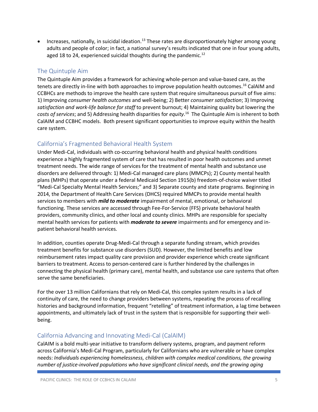• Increases, nationally, in suicidal ideation.<sup>13</sup> These rates are disproportionately higher among young adults and people of color; in fact, a national survey's results indicated that one in four young adults, aged 18 to 24, experienced suicidal thoughts during the pandemic.<sup>12</sup>

### <span id="page-5-0"></span>The Quintuple Aim

The Quintuple Aim provides a framework for achieving whole-person and value-based care, as the tenets are directly in-line with both approaches to improve population health outcomes. <sup>16</sup> CalAIM and CCBHCs are methods to improve the health care system that require simultaneous pursuit of five aims: 1) Improving *consumer health outcomes* and well-being; 2) Better *consumer satisfaction*; 3) Improving *satisfaction and work-life balance for staff* to prevent burnout; 4) Maintaining quality but lowering the *costs of services*; and 5) Addressing health disparities for *equity*. <sup>16</sup> The Quintuple Aim is inherent to both CalAIM and CCBHC models. Both present significant opportunities to improve equity within the health care system.

### <span id="page-5-1"></span>California's Fragmented Behavioral Health System

Under Medi-Cal, individuals with co-occurring behavioral health and physical health conditions experience a highly fragmented system of care that has resulted in poor health outcomes and unmet treatment needs. The wide range of services for the treatment of mental health and substance use disorders are delivered through: 1) Medi-Cal managed care plans (MMCPs); 2) County mental health plans (MHPs) that operate under a federal Medicaid Section 1915(b) freedom-of-choice waiver titled "Medi-Cal Specialty Mental Health Services;" and 3) Separate county and state programs. Beginning in 2014, the Department of Health Care Services (DHCS) required MMCPs to provide mental health services to members with *mild to moderate* impairment of mental, emotional, or behavioral functioning. These services are accessed through Fee-For-Service (FFS) private behavioral health providers, community clinics, and other local and county clinics. MHPs are responsible for specialty mental health services for patients with *moderate to severe* impairments and for emergency and inpatient behavioral health services.

In addition, counties operate Drug-Medi-Cal through a separate funding stream, which provides treatment benefits for substance use disorders (SUD). However, the limited benefits and low reimbursement rates impact quality care provision and provider experience which create significant barriers to treatment. Access to person-centered care is further hindered by the challenges in connecting the physical health (primary care), mental health, and substance use care systems that often serve the same beneficiaries.

For the over 13 million Californians that rely on Medi-Cal, this complex system results in a lack of continuity of care, the need to change providers between systems, repeating the process of recalling histories and background information, frequent "retelling" of treatment information, a lag time between appointments, and ultimately lack of trust in the system that is responsible for supporting their wellbeing.

### <span id="page-5-2"></span>California Advancing and Innovating Medi-Cal (CalAIM)

CalAIM is a bold multi-year initiative to transform delivery systems, program, and payment reform across California's Medi-Cal Program, particularly for Californians who are vulnerable or have complex needs: *Individuals experiencing homelessness, children with complex medical conditions, the growing number of justice-involved populations who have significant clinical needs, and the growing aging*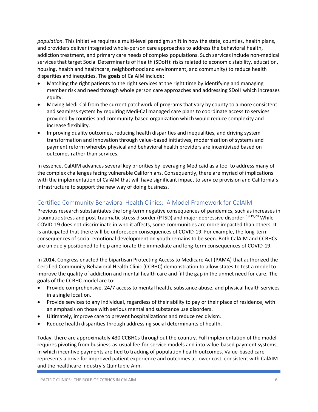*population.* This initiative requires a multi-level paradigm shift in how the state, counties, health plans, and providers deliver integrated whole-person care approaches to address the behavioral health, addiction treatment, and primary care needs of complex populations. Such services include non-medical services that target Social Determinants of Health (SDoH): risks related to economic stability, education, housing, health and healthcare, neighborhood and environment, and community) to reduce health disparities and inequities. The **goals** of CalAIM include:

- Matching the right patients to the right services at the right time by identifying and managing member risk and need through whole person care approaches and addressing SDoH which increases equity.
- Moving Medi-Cal from the current patchwork of programs that vary by county to a more consistent and seamless system by requiring Medi-Cal managed care plans to coordinate access to services provided by counties and community-based organization which would reduce complexity and increase flexibility.
- Improving quality outcomes, reducing health disparities and inequalities, and driving system transformation and innovation through value-based initiatives, modernization of systems and payment reform whereby physical and behavioral health providers are incentivized based on outcomes rather than services.

In essence, CalAIM advances several key priorities by leveraging Medicaid as a tool to address many of the complex challenges facing vulnerable Californians. Consequently, there are myriad of implications with the implementation of CalAIM that will have significant impact to service provision and California's infrastructure to support the new way of doing business.

### <span id="page-6-0"></span>Certified Community Behavioral Health Clinics: A Model Framework for CalAIM

Previous research substantiates the long-term negative consequences of pandemics, such as increases in traumatic stress and post-traumatic stress disorder (PTSD) and major depressive disorder.<sup>18,19,20</sup> While COVID-19 does not discriminate in who it affects, some communities are more impacted than others. It is anticipated that there will be unforeseen consequences of COVID-19. For example, the long-term consequences of social-emotional development on youth remains to be seen. Both CalAIM and CCBHCs are uniquely positioned to help ameliorate the immediate and long-term consequences of COVID-19.

In 2014, Congress enacted the bipartisan Protecting Access to Medicare Act (PAMA) that authorized the Certified Community Behavioral Health Clinic (CCBHC) demonstration to allow states to test a model to improve the quality of addiction and mental health care and fill the gap in the unmet need for care. The **goals** of the CCBHC model are to:

- Provide comprehensive, 24/7 access to mental health, substance abuse, and physical health services in a single location.
- Provide services to any individual, regardless of their ability to pay or their place of residence, with an emphasis on those with serious mental and substance use disorders.
- Ultimately, improve care to prevent hospitalizations and reduce recidivism.
- Reduce health disparities through addressing social determinants of health.

Today, there are approximately 430 CCBHCs throughout the country. Full implementation of the model requires pivoting from business-as-usual fee-for-service models and into value-based payment systems, in which incentive payments are tied to tracking of population health outcomes. Value-based care represents a drive for improved patient experience and outcomes at lower cost, consistent with CalAIM and the healthcare industry's Quintuple Aim.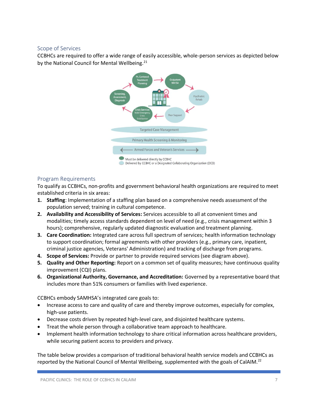#### <span id="page-7-0"></span>Scope of Services

CCBHCs are required to offer a wide range of easily accessible, whole-person services as depicted below by the National Council for Mental Wellbeing.<sup>21</sup>



### <span id="page-7-1"></span>Program Requirements

To qualify as CCBHCs, non-profits and government behavioral health organizations are required to meet established criteria in six areas:

- **1. Staffing**: Implementation of a staffing plan based on a comprehensive needs assessment of the population served; training in cultural competence.
- **2. Availability and Accessibility of Services:** Services accessible to all at convenient times and modalities; timely access standards dependent on level of need (e.g., crisis management within 3 hours); comprehensive, regularly updated diagnostic evaluation and treatment planning.
- **3. Care Coordination:** Integrated care across full spectrum of services; health information technology to support coordination; formal agreements with other providers (e.g., primary care, inpatient, criminal justice agencies, Veterans' Administration) and tracking of discharge from programs.
- **4. Scope of Services:** Provide or partner to provide required services (see diagram above).
- **5. Quality and Other Reporting:** Report on a common set of quality measures; have continuous quality improvement (CQI) plans.
- **6. Organizational Authority, Governance, and Accreditation:** Governed by a representative board that includes more than 51% consumers or families with lived experience.

CCBHCs embody SAMHSA's integrated care goals to:

- Increase access to care and quality of care and thereby improve outcomes, especially for complex, high-use patients.
- Decrease costs driven by repeated high-level care, and disjointed healthcare systems.
- Treat the whole person through a collaborative team approach to healthcare.
- Implement health information technology to share critical information across healthcare providers, while securing patient access to providers and privacy.

The table below provides a comparison of traditional behavioral health service models and CCBHCs as reported by the National Council of Mental Wellbeing, supplemented with the goals of CalAIM.<sup>22</sup>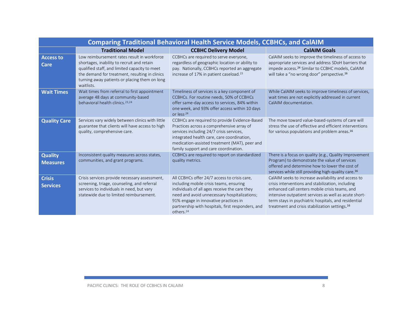| <b>Comparing Traditional Behavioral Health Service Models, CCBHCs, and CalAIM</b> |                                                                                                                                                                                                                                                             |                                                                                                                                                                                                                                                                                                                 |                                                                                                                                                                                                                                                                                                                                           |  |
|-----------------------------------------------------------------------------------|-------------------------------------------------------------------------------------------------------------------------------------------------------------------------------------------------------------------------------------------------------------|-----------------------------------------------------------------------------------------------------------------------------------------------------------------------------------------------------------------------------------------------------------------------------------------------------------------|-------------------------------------------------------------------------------------------------------------------------------------------------------------------------------------------------------------------------------------------------------------------------------------------------------------------------------------------|--|
|                                                                                   | <b>Traditional Model</b>                                                                                                                                                                                                                                    | <b>CCBHC Delivery Model</b>                                                                                                                                                                                                                                                                                     | <b>CalAIM Goals</b>                                                                                                                                                                                                                                                                                                                       |  |
| <b>Access to</b><br>Care                                                          | Low reimbursement rates result in workforce<br>shortages, inability to recruit and retain<br>qualified staff, and limited capacity to meet<br>the demand for treatment, resulting in clinics<br>turning away patients or placing them on long<br>waitlists. | CCBHCs are required to serve everyone,<br>regardless of geographic location or ability to<br>pay. Nationally, CCBHCs reported an aggregate<br>increase of 17% in patient caseload. <sup>23</sup>                                                                                                                | CalAIM seeks to improve the timeliness of access to<br>appropriate services and address SDoH barriers that<br>impede access. <sup>24</sup> Similar to CCBHC models, CalAIM<br>will take a "no wrong door" perspective. <sup>16</sup>                                                                                                      |  |
| <b>Wait Times</b>                                                                 | Wait times from referral to first appointment<br>average 48 days at community-based<br>behavioral health clinics. <sup>23,24</sup>                                                                                                                          | Timeliness of services is a key component of<br>CCBHCs. For routine needs, 50% of CCBHCs<br>offer same-day access to services, 84% within<br>one week, and 93% offer access within 10 days<br>or less <sup>24</sup>                                                                                             | While CalAIM seeks to improve timeliness of services,<br>wait times are not explicitly addressed in current<br>CalAIM documentation.                                                                                                                                                                                                      |  |
| <b>Quality Care</b>                                                               | Services vary widely between clinics with little<br>guarantee that clients will have access to high<br>quality, comprehensive care.                                                                                                                         | CCBHCs are required to provide Evidence-Based<br>Practices across a comprehensive array of<br>services including 24/7 crisis services,<br>integrated health care, care coordination,<br>medication-assisted treatment (MAT), peer and<br>family support and care coordination.                                  | The move toward value-based-systems of care will<br>stress the use of effective and efficient interventions<br>for various populations and problem areas. <sup>16</sup>                                                                                                                                                                   |  |
| <b>Quality</b><br><b>Measures</b>                                                 | Inconsistent quality measures across states,<br>communities, and grant programs.                                                                                                                                                                            | CCBHCs are required to report on standardized<br>quality metrics.                                                                                                                                                                                                                                               | There is a focus on quality (e.g., Quality Improvement<br>Program) to demonstrate the value of services<br>offered and determine how to lower the cost of<br>services while still providing high-quality care. <sup>16</sup>                                                                                                              |  |
| <b>Crisis</b><br><b>Services</b>                                                  | Crisis services provide necessary assessment,<br>screening, triage, counseling, and referral<br>services to individuals in need, but vary<br>statewide due to limited reimbursement.                                                                        | All CCBHCs offer 24/7 access to crisis care,<br>including mobile crisis teams, ensuring<br>individuals of all ages receive the care they<br>need and avoid unnecessary hospitalizations;<br>91% engage in innovative practices in<br>partnership with hospitals, first responders, and<br>others. <sup>24</sup> | CalAIM seeks to increase availability and access to<br>crisis interventions and stabilization, including<br>enhanced call centers mobile crisis teams, and<br>intensive outpatient services as well as acute short-<br>term stays in psychiatric hospitals, and residential<br>treatment and crisis stabilization settings. <sup>16</sup> |  |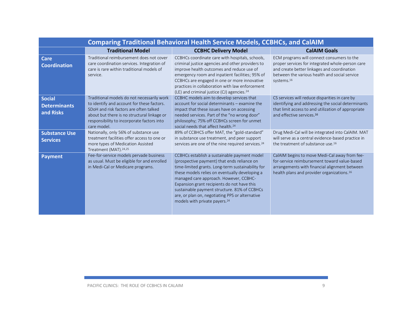| <b>Comparing Traditional Behavioral Health Service Models, CCBHCs, and CalAIM</b> |                                                                                                                                                                                                                                                |                                                                                                                                                                                                                                                                                                                                                                                                                                             |                                                                                                                                                                                                                          |  |
|-----------------------------------------------------------------------------------|------------------------------------------------------------------------------------------------------------------------------------------------------------------------------------------------------------------------------------------------|---------------------------------------------------------------------------------------------------------------------------------------------------------------------------------------------------------------------------------------------------------------------------------------------------------------------------------------------------------------------------------------------------------------------------------------------|--------------------------------------------------------------------------------------------------------------------------------------------------------------------------------------------------------------------------|--|
|                                                                                   | <b>Traditional Model</b>                                                                                                                                                                                                                       | <b>CCBHC Delivery Model</b>                                                                                                                                                                                                                                                                                                                                                                                                                 | <b>CalAIM Goals</b>                                                                                                                                                                                                      |  |
| <b>Care</b><br><b>Coordination</b>                                                | Traditional reimbursement does not cover<br>care coordination services. Integration of<br>care is rare within traditional models of<br>service.                                                                                                | CCBHCs coordinate care with hospitals, schools,<br>criminal justice agencies and other providers to<br>improve health outcomes and reduce use of<br>emergency room and inpatient facilities; 95% of<br>CCBHCs are engaged in one or more innovative<br>practices in collaboration with law enforcement<br>(LE) and criminal justice (CJ) agencies. <sup>24</sup>                                                                            | ECM programs will connect consumers to the<br>proper services for integrated whole-person care<br>and create better linkages and coordination<br>between the various health and social service<br>systems. <sup>16</sup> |  |
| <b>Social</b><br><b>Determinants</b><br>and Risks                                 | Traditional models do not necessarily work<br>to identify and account for these factors.<br>SDoH and risk factors are often talked<br>about but there is no structural linkage or<br>responsibility to incorporate factors into<br>care model. | CCBHC models aim to develop services that<br>account for social determinants - examine the<br>impact that these issues have on accessing<br>needed services. Part of the "no wrong door"<br>philosophy; 75% off CCBHCs screen for unmet<br>social needs that affect health. <sup>24</sup>                                                                                                                                                   | CS services will reduce disparities in care by<br>identifying and addressing the social determinants<br>that limit access to and utilization of appropriate<br>and effective services. <sup>16</sup>                     |  |
| <b>Substance Use</b><br><b>Services</b>                                           | Nationally, only 56% of substance use<br>treatment facilities offer access to one or<br>more types of Medication Assisted<br>Treatment (MAT). <sup>24,25</sup>                                                                                 | 89% of CCBHCS offer MAT, the "gold-standard"<br>in substance use treatment, and peer support<br>services are one of the nine required services. <sup>24</sup>                                                                                                                                                                                                                                                                               | Drug Medi-Cal will be integrated into CalAIM. MAT<br>will serve as a central evidence-based practice in<br>the treatment of substance use. <sup>16</sup>                                                                 |  |
| <b>Payment</b>                                                                    | Fee-for-service models pervade business<br>as usual. Must be eligible for and enrolled<br>in Medi-Cal or Medicare programs.                                                                                                                    | CCBHCs establish a sustainable payment model<br>(prospective payment) that ends reliance on<br>time-limited grants. Long-term sustainability for<br>these models relies on eventually developing a<br>managed care approach. However, CCBHC-<br>Expansion grant recipients do not have this<br>sustainable payment structure. 81% of CCBHCs<br>are, or plan on, negotiating PPS or alternative<br>models with private payers. <sup>24</sup> | CalAIM begins to move Medi-Cal away from fee-<br>for-service reimbursement toward value-based<br>arrangements with financial alignment between<br>health plans and provider organizations. <sup>16</sup>                 |  |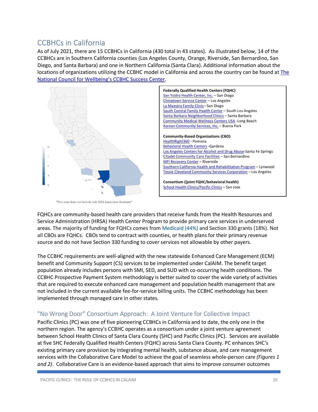### <span id="page-10-0"></span>CCBHCs in California

As of July 2021, there are 15 CCBHCs in California (430 total in 43 states). As illustrated below, 14 of the CCBHCs are in Southern California counties (Los Angeles County, Orange, Riverside, San Bernardino, San Diego, and Santa Barbara) and one in Northern California (Santa Clara). Additional information about the locations of organizations utilizing the CCBHC model in California and across the country can be found at [The](https://www.thenationalcouncil.org/ccbhc-success-center/ccbhc-locator/https:/www.thenationalcouncil.org/ccbhc-success-center/ccbhc-locator/)  [National Council for Wellbeing's CCBHC Success Center](https://www.thenationalcouncil.org/ccbhc-success-center/ccbhc-locator/https:/www.thenationalcouncil.org/ccbhc-success-center/ccbhc-locator/).



\*This map does not include July 2021 Expansion Grantees\*

FQHCs are community-based health care providers that receive funds from the Health Resources and Service Administration (HRSA) Health Center Program to provide primary care services in underserved areas. The majority of funding for FQHCs comes from [Medicaid](https://www.bing.com/search?q=Medicaid&filters=sid%3a86da46fc-d681-ec54-b017-53f1c5c0b1b0&form=ENTLNK) (44%) and Section 330 grants (18%). Not all CBOs are FQHCs. CBOs tend to contract with counties, or health plans for their primary revenue source and do not have Section 330 funding to cover services not allowable by other payers.

The CCBHC requirements are well-aligned with the new statewide Enhanced Care Management (ECM) benefit and Community Support (CS) services to be implemented under CalAIM. The benefit target population already includes persons with SMI, SED, and SUD with co-occurring health conditions. The CCBHC Prospective Payment System methodology is better suited to cover the wide variety of activities that are required to execute enhanced care management and population health management that are not included in the current available fee-for-service billing units. The CCBHC methodology has been implemented through managed care in other states.

### <span id="page-10-1"></span>"No Wrong Door" Consortium Approach: A Joint Venture for Collective Impact

Pacific Clinics (PC) was one of five pioneering CCBHCs in California and to date, the only one in the northern region. The agency's CCBHC operates as a consortium under a joint venture agreement between School Health Clinics of Santa Clara County (SHC) and Pacific Clinics (PC). Services are available at five SHC Federally Qualified Health Centers (FQHC) across Santa Clara County. PC enhances SHC's existing primary care provision by integrating mental health, substance abuse, and care management services with the Collaborative Care Model to achieve the goal of seamless whole-person care *(Figures 1 and 2)*. Collaborative Care is an evidence-based approach that aims to improve consumer outcomes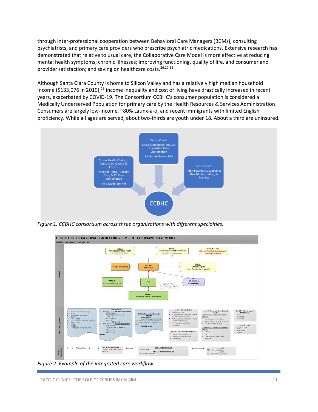through inter-professional cooperation between Behavioral Care Managers (BCMs), consulting psychiatrists, and primary care providers who prescribe psychiatric medications. Extensive research has demonstrated that relative to usual care, the Collaborative Care Model is more effective at reducing mental health symptoms; chronic illnesses; improving functioning, quality of life, and consumer and provider satisfaction; and saving on healthcare costs.<sup>26,27,28</sup>

Although Santa Clara County is home to Silicon Valley and has a relatively high median household income (\$133,076 in 2019),<sup>29</sup> income inequality and cost of living have drastically increased in recent years, exacerbated by COVID-19. The Consortium CCBHC's consumer population is considered a Medically Underserved Population for primary care by the Health Resources & Services Administration. Consumers are largely low-income, ~80% Latinx-a-o, and recent immigrants with limited English proficiency. While all ages are served, about two-thirds are youth under 18. About a third are uninsured.



*Figure 1. CCBHC consortium across three organizations with different specialties.* 



*Figure 2. Example of the integrated care workflow.*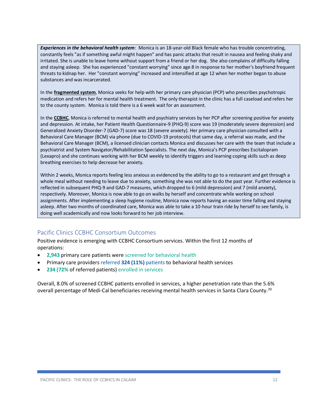*Experiences in the behavioral health system*: Monica is an 18-year-old Black female who has trouble concentrating, constantly feels "as if something awful might happen" and has panic attacks that result in nausea and feeling shaky and irritated. She is unable to leave home without support from a friend or her dog. She also complains of difficulty falling and staying asleep. She has experienced "constant worrying" since age 8 in response to her mother's boyfriend frequent threats to kidnap her. Her "constant worrying" increased and intensified at age 12 when her mother began to abuse substances and was incarcerated.

In the **fragmented system**, Monica seeks for help with her primary care physician (PCP) who prescribes psychotropic medication and refers her for mental health treatment. The only therapist in the clinic has a full caseload and refers her to the county system. Monica is told there is a 6 week wait for an assessment.

In the **CCBHC**, Monica is referred to mental health and psychiatry services by her PCP after screening positive for anxiety and depression. At intake, her Patient Health Questionnaire-9 (PHQ-9) score was 19 (moderately severe depression) and Generalized Anxiety Disorder-7 (GAD-7) score was 18 (severe anxiety). Her primary care physician consulted with a Behavioral Care Manager (BCM) via phone (due to COVID-19 protocols) that same day, a referral was made, and the Behavioral Care Manager (BCM), a licensed clinician contacts Monica and discusses her care with the team that include a psychiatrist and System Navigator/Rehabilitation Specialists. The next day, Monica's PCP prescribes Escitalopram (Lexapro) and she continues working with her BCM weekly to identify triggers and learning coping skills such as deep breathing exercises to help decrease her anxiety.

Within 2 weeks, Monica reports feeling less anxious as evidenced by the ability to go to a restaurant and get through a whole meal without needing to leave due to anxiety, something she was not able to do the past year. Further evidence is reflected in subsequent PHQ-9 and GAD-7 measures, which dropped to 6 (mild depression) and 7 (mild anxiety), respectively. Moreover, Monica is now able to go on walks by herself and concentrate while working on school assignments. After implementing a sleep hygiene routine, Monica now reports having an easier time falling and staying asleep. After two months of coordinated care, Monica was able to take a 10-hour train ride by herself to see family, is doing well academically and now looks forward to her job interview.

### <span id="page-12-0"></span>Pacific Clinics CCBHC Consortium Outcomes

Positive evidence is emerging with CCBHC Consortium services. Within the first 12 months of operations:

- **2,943** primary care patients were screened for behavioral health
- Primary care providers referred **324 (11%)** patients to behavioral health services
- **234 (72%** of referred patients) enrolled in services

Overall, 8.0% of screened CCBHC patients enrolled in services, a higher penetration rate than the 5.6% overall percentage of Medi-Cal beneficiaries receiving mental health services in Santa Clara County.<sup>30</sup>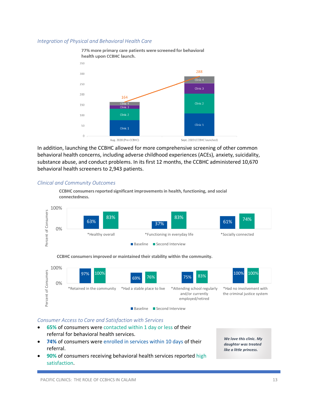#### *Integration of Physical and Behavioral Health Care*



In addition, launching the CCBHC allowed for more comprehensive screening of other common behavioral health concerns, including adverse childhood experiences (ACEs), anxiety, suicidality, substance abuse, and conduct problems. In its first 12 months, the CCBHC administered 10,670 behavioral health screeners to 2,943 patients.

#### *Clinical and Community Outcomes*



100% Percent of Consumers Percent of Consumers 97% 100% 100% 76% 83% 100% 69% 75% 0% \*Retained in the community \*Had a stable place to live \*Attending school regularly \*Had no involvement with and/or currently the criminal justice system employed/retired Baseline Second Interview

**CCBHC consumers improved or maintained their stability within the community.**

#### *Consumer Access to Care and Satisfaction with Services*

- **65%** of consumers were contacted within 1 day or less of their referral for behavioral health services.
- **74%** of consumers were enrolled in services within 10 days of their referral.
- **90%** of consumers receiving behavioral health services reported high satisfaction.

*We love this clinic. My daughter was treated like a little princess.*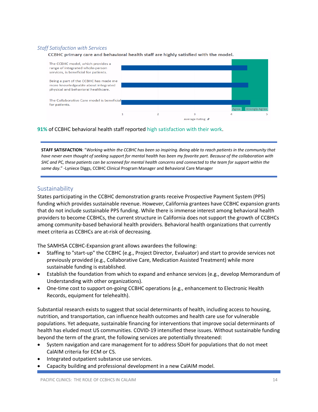#### *Staff Satisfaction with Services*

CCBHC primary care and behavioral health staff are highly satisfied with the model.



**91%** of CCBHC behavioral health staff reported high satisfaction with their work.

**STAFF SATISFACTION**: "*Working within the CCBHC has been so inspiring. Being able to reach patients in the community that have never even thought of seeking support for mental health has been my favorite part. Because of the collaboration with SHC and PC, these patients can be screened for mental health concerns and connected to the team for support within the same day*." -Lyniece Diggs, CCBHC Clinical Program Manager and Behavioral Care Manager

### <span id="page-14-0"></span>Sustainability

States participating in the CCBHC demonstration grants receive Prospective Payment System (PPS) funding which provides sustainable revenue. However, California grantees have CCBHC expansion grants that do not include sustainable PPS funding. While there is immense interest among behavioral health providers to become CCBHCs, the current structure in California does not support the growth of CCBHCs among community-based behavioral health providers. Behavioral health organizations that currently meet criteria as CCBHCs are at-risk of decreasing.

The SAMHSA CCBHC-Expansion grant allows awardees the following:

- Staffing to "start-up" the CCBHC (e.g., Project Director, Evaluator) and start to provide services not previously provided (e.g., Collaborative Care, Medication Assisted Treatment) while more sustainable funding is established.
- Establish the foundation from which to expand and enhance services (e.g., develop Memorandum of Understanding with other organizations).
- One-time cost to support on-going CCBHC operations (e.g., enhancement to Electronic Health Records, equipment for telehealth).

Substantial research exists to suggest that social determinants of health, including access to housing, nutrition, and transportation, can influence health outcomes and health care use for vulnerable populations. Yet adequate, sustainable financing for interventions that improve social determinants of health has eluded most US communities. COVID-19 intensified these issues. Without sustainable funding beyond the term of the grant, the following services are potentially threatened:

- System navigation and care management for to address SDoH for populations that do not meet CalAIM criteria for ECM or CS.
- Integrated outpatient substance use services.
- Capacity building and professional development in a new CalAIM model.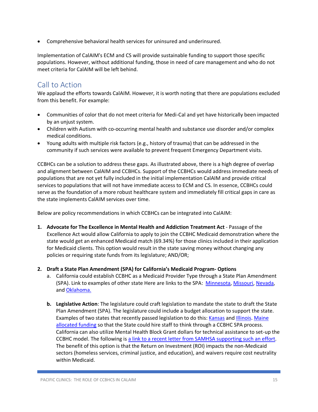• Comprehensive behavioral health services for uninsured and underinsured.

Implementation of CalAIM's ECM and CS will provide sustainable funding to support those specific populations. However, without additional funding, those in need of care management and who do not meet criteria for CalAIM will be left behind.

### <span id="page-15-0"></span>Call to Action

We applaud the efforts towards CalAIM. However, it is worth noting that there are populations excluded from this benefit. For example:

- Communities of color that do not meet criteria for Medi-Cal and yet have historically been impacted by an unjust system.
- Children with Autism with co-occurring mental health and substance use disorder and/or complex medical conditions.
- Young adults with multiple risk factors (e.g., history of trauma) that can be addressed in the community if such services were available to prevent frequent Emergency Department visits.

CCBHCs can be a solution to address these gaps. As illustrated above, there is a high degree of overlap and alignment between CalAIM and CCBHCs. Support of the CCBHCs would address immediate needs of populations that are not yet fully included in the initial implementation CalAIM and provide critical services to populations that will not have immediate access to ECM and CS. In essence, CCBHCs could serve as the foundation of a more robust healthcare system and immediately fill critical gaps in care as the state implements CalAIM services over time.

Below are policy recommendations in which CCBHCs can be integrated into CalAIM:

- **1. Advocate for The Excellence in Mental Health and Addiction Treatment Act** Passage of the Excellence Act would allow California to apply to join the CCBHC Medicaid demonstration where the state would get an enhanced Medicaid match (69.34%) for those clinics included in their application for Medicaid clients. This option would result in the state saving money without changing any policies or requiring state funds from its legislature; AND/OR;
- **2. Draft a State Plan Amendment (SPA) for California's Medicaid Program- Options**
	- a. California could establish CCBHC as a Medicaid Provider Type through a State Plan Amendment (SPA). Link to examples of other state Here are links to the SPA: [Minnesota,](https://nam10.safelinks.protection.outlook.com/?url=https%3A%2F%2Fwww.medicaid.gov%2Fmedicaid%2Fspa%2Fdownloads%2FMN-20-0016.pdf&data=04%7C01%7C%7Cdde10cb6e636406741f508d968b2ac06%7C950dc2e1845c422fabe21cdbfab05297%7C0%7C0%7C637655938881449666%7CUnknown%7CTWFpbGZsb3d8eyJWIjoiMC4wLjAwMDAiLCJQIjoiV2luMzIiLCJBTiI6Ik1haWwiLCJXVCI6Mn0%3D%7C1000&sdata=me8OnvGYxLIKHsoJQBo6XKgAiLjSUmKn%2FPKFngbMCV8%3D&reserved=0) [Missouri,](https://nam10.safelinks.protection.outlook.com/?url=https%3A%2F%2Fwww.medicaid.gov%2Fsites%2Fdefault%2Ffiles%2FState-resource-center%2FMedicaid-State-Plan-Amendments%2FDownloads%2FMO%2FMO-19-0007.pdf&data=04%7C01%7C%7Cdde10cb6e636406741f508d968b2ac06%7C950dc2e1845c422fabe21cdbfab05297%7C0%7C0%7C637655938881459622%7CUnknown%7CTWFpbGZsb3d8eyJWIjoiMC4wLjAwMDAiLCJQIjoiV2luMzIiLCJBTiI6Ik1haWwiLCJXVCI6Mn0%3D%7C1000&sdata=mYLdGgzdCFdOBAivUy3i%2BtyzwlzTPIuNvnqrcve1%2Bz8%3D&reserved=0) [Nevada,](https://nam10.safelinks.protection.outlook.com/?url=https%3A%2F%2Fwww.medicaid.gov%2Fmedicaid%2Fspa%2Fdownloads%2Fnv-20-0011.pdf&data=04%7C01%7C%7Cdde10cb6e636406741f508d968b2ac06%7C950dc2e1845c422fabe21cdbfab05297%7C0%7C0%7C637655938881459622%7CUnknown%7CTWFpbGZsb3d8eyJWIjoiMC4wLjAwMDAiLCJQIjoiV2luMzIiLCJBTiI6Ik1haWwiLCJXVCI6Mn0%3D%7C1000&sdata=VLVfRV9Z2wnee2JVav3gbdm297Q6IFqobBTZIHL8GDM%3D&reserved=0) and [Oklahoma.](https://nam10.safelinks.protection.outlook.com/?url=https%3A%2F%2Fwww.medicaid.gov%2Fmedicaid%2Fspa%2Fdownloads%2FOK-20-0033.pdf&data=04%7C01%7C%7Cdde10cb6e636406741f508d968b2ac06%7C950dc2e1845c422fabe21cdbfab05297%7C0%7C0%7C637655938881459622%7CUnknown%7CTWFpbGZsb3d8eyJWIjoiMC4wLjAwMDAiLCJQIjoiV2luMzIiLCJBTiI6Ik1haWwiLCJXVCI6Mn0%3D%7C1000&sdata=ht4YTCj%2BJw72FeajNT9BVR6sB56Ired15J09yv2zbUI%3D&reserved=0)
	- **b. Legislative Action**: The legislature could craft legislation to mandate the state to draft the State Plan Amendment (SPA). The legislature could include a budget allocation to support the state. Examples of two states that recently passed legislation to do this: [Kansas](https://nam10.safelinks.protection.outlook.com/?url=http%3A%2F%2Fwww.kslegislature.org%2Fli%2Fb2021_22%2Fmeasures%2Fhb2208%2F&data=04%7C01%7C%7Cdde10cb6e636406741f508d968b2ac06%7C950dc2e1845c422fabe21cdbfab05297%7C0%7C0%7C637655938881469579%7CUnknown%7CTWFpbGZsb3d8eyJWIjoiMC4wLjAwMDAiLCJQIjoiV2luMzIiLCJBTiI6Ik1haWwiLCJXVCI6Mn0%3D%7C1000&sdata=KqxQfSNijQILkslbhnwwn8aa17whq5rjUxSidFn%2FFDQ%3D&reserved=0) and [Illinois.](https://nam10.safelinks.protection.outlook.com/?url=https%3A%2F%2Fwww.ilga.gov%2Flegislation%2FBillStatus.asp%3FDocNum%3D2294%26GAID%3D16%26DocTypeID%3DSB%26SessionID%3D110%26GA%3D102&data=04%7C01%7C%7Cdde10cb6e636406741f508d968b2ac06%7C950dc2e1845c422fabe21cdbfab05297%7C0%7C0%7C637655938881479536%7CUnknown%7CTWFpbGZsb3d8eyJWIjoiMC4wLjAwMDAiLCJQIjoiV2luMzIiLCJBTiI6Ik1haWwiLCJXVCI6Mn0%3D%7C1000&sdata=alPqCkScZLLhwoA5eg7VXZYHgraqeEw7dLktnT%2FwsnI%3D&reserved=0) [Maine](https://nam10.safelinks.protection.outlook.com/?url=http%3A%2F%2Flegislature.maine.gov%2Fdoc%2F6744&data=04%7C01%7C%7Cdde10cb6e636406741f508d968b2ac06%7C950dc2e1845c422fabe21cdbfab05297%7C0%7C0%7C637655938881479536%7CUnknown%7CTWFpbGZsb3d8eyJWIjoiMC4wLjAwMDAiLCJQIjoiV2luMzIiLCJBTiI6Ik1haWwiLCJXVCI6Mn0%3D%7C1000&sdata=HCRyBs8xMOrbVXE3nbH9cvDpu13mQAhL01sk1zliRfE%3D&reserved=0)  [allocated funding](https://nam10.safelinks.protection.outlook.com/?url=http%3A%2F%2Flegislature.maine.gov%2Fdoc%2F6744&data=04%7C01%7C%7Cdde10cb6e636406741f508d968b2ac06%7C950dc2e1845c422fabe21cdbfab05297%7C0%7C0%7C637655938881479536%7CUnknown%7CTWFpbGZsb3d8eyJWIjoiMC4wLjAwMDAiLCJQIjoiV2luMzIiLCJBTiI6Ik1haWwiLCJXVCI6Mn0%3D%7C1000&sdata=HCRyBs8xMOrbVXE3nbH9cvDpu13mQAhL01sk1zliRfE%3D&reserved=0) so that the State could hire staff to think through a CCBHC SPA process. California can also utilize Mental Health Block Grant dollars for technical assistance to set-up the CCBHC model. The following is [a link to a recent letter from SAMHSA supporting such an effort.](https://nam10.safelinks.protection.outlook.com/?url=https%3A%2F%2Fwww.azahcccs.gov%2FAHCCCS%2FDownloads%2FInitiatives%2FARPA%2FSAMHSABlockGrantGuidanceforARPfunding.pdf&data=04%7C01%7C%7Cdde10cb6e636406741f508d968b2ac06%7C950dc2e1845c422fabe21cdbfab05297%7C0%7C0%7C637655938881479536%7CUnknown%7CTWFpbGZsb3d8eyJWIjoiMC4wLjAwMDAiLCJQIjoiV2luMzIiLCJBTiI6Ik1haWwiLCJXVCI6Mn0%3D%7C1000&sdata=aO6Gon5L47Qvme6JySBnIWqRB8tY9Kaa8VdcIoPfZsE%3D&reserved=0) The benefit of this option is that the Return on Investment (ROI) impacts the non-Medicaid sectors (homeless services, criminal justice, and education), and waivers require cost neutrality within Medicaid.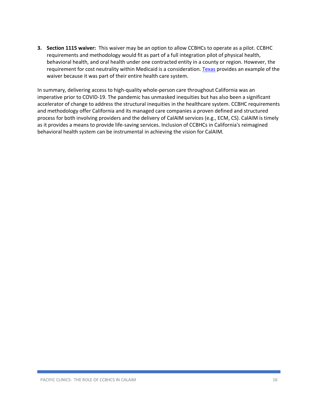**3. Section 1115 waiver:** This waiver may be an option to allow CCBHCs to operate as a pilot. CCBHC requirements and methodology would fit as part of a full integration pilot of physical health, behavioral health, and oral health under one contracted entity in a county or region. However, the requirement for cost neutrality within Medicaid is a consideration[. Texas](https://nam10.safelinks.protection.outlook.com/?url=https%3A%2F%2Fwww.hhs.texas.gov%2Fdoing-business-hhs%2Fprovider-portals%2Fbehavioral-health-services-providers%2Fcertified-community-behavioral-health-clinics&data=04%7C01%7C%7Cdde10cb6e636406741f508d968b2ac06%7C950dc2e1845c422fabe21cdbfab05297%7C0%7C0%7C637655938881469579%7CUnknown%7CTWFpbGZsb3d8eyJWIjoiMC4wLjAwMDAiLCJQIjoiV2luMzIiLCJBTiI6Ik1haWwiLCJXVCI6Mn0%3D%7C1000&sdata=DAFJV8NDfsBaiEvzD84GM0jruGbe%2BhJkaPRn7oQT5v8%3D&reserved=0) provides an example of the waiver because it was part of their entire health care system.

In summary, delivering access to high-quality whole-person care throughout California was an imperative prior to COVID-19. The pandemic has unmasked inequities but has also been a significant accelerator of change to address the structural inequities in the healthcare system. CCBHC requirements and methodology offer California and its managed care companies a proven defined and structured process for both involving providers and the delivery of CalAIM services (e.g., ECM, CS). CalAIM is timely as it provides a means to provide life-saving services. Inclusion of CCBHCs in California's reimagined behavioral health system can be instrumental in achieving the vision for CalAIM.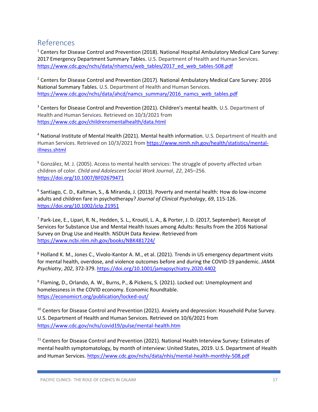### <span id="page-17-0"></span>References

<sup>1</sup> Centers for Disease Control and Prevention (2018). National Hospital Ambulatory Medical Care Survey: 2017 Emergency Department Summary Tables. U.S. Department of Health and Human Services. [https://www.cdc.gov/nchs/data/nhamcs/web\\_tables/2017\\_ed\\_web\\_tables-508.pdf](https://www.cdc.gov/nchs/data/nhamcs/web_tables/2017_ed_web_tables-508.pdf)

<sup>2</sup> Centers for Disease Control and Prevention (2017). National Ambulatory Medical Care Survey: 2016 National Summary Tables. U.S. Department of Health and Human Services. [https://www.cdc.gov/nchs/data/ahcd/namcs\\_summary/2016\\_namcs\\_web\\_tables.pdf](https://www.cdc.gov/nchs/data/ahcd/namcs_summary/2016_namcs_web_tables.pdf)

<sup>3</sup> Centers for Disease Control and Prevention (2021). Children's mental health. U.S. Department of Health and Human Services. Retrieved on 10/3/2021 from <https://www.cdc.gov/childrensmentalhealth/data.html>

<sup>4</sup> National Institute of Mental Health (2021). Mental health information. U.S. Department of Health and Human Services. Retrieved on 10/3/2021 from [https://www.nimh.nih.gov/health/statistics/mental](https://www.nimh.nih.gov/health/statistics/mental-illness.shtml)[illness.shtml](https://www.nimh.nih.gov/health/statistics/mental-illness.shtml)

<sup>5</sup> González, M. J. (2005). Access to mental health services: The struggle of poverty affected urban children of color. *Child and Adolescent Social Work Journal*, *22*, 245–256. <https://doi.org/10.1007/BF02679471>

6 Santiago, C. D., Kaltman, S., & Miranda, J. (2013). Poverty and mental health: How do low-income adults and children fare in psychotherapy? *Journal of Clinical Psychology*, *69*, 115-126. <https://doi.org/10.1002/jclp.21951>

<sup>7</sup> Park-Lee, E., Lipari, R. N., Hedden, S. L., Kroutil, L. A., & Porter, J. D. (2017, September). Receipt of Services for Substance Use and Mental Health Issues among Adults: Results from the 2016 National Survey on Drug Use and Health. NSDUH Data Review. Retrieved from <https://www.ncbi.nlm.nih.gov/books/NBK481724/>

<sup>8</sup> Holland K. M., Jones C., Vivolo-Kantor A. M., et al. (2021). Trends in US emergency department visits for mental health, overdose, and violence outcomes before and during the COVID-19 pandemic. *JAMA Psychiatry*, *202*, 372-379. <https://doi.org/10.1001/jamapsychiatry.2020.4402>

<sup>9</sup> Flaming, D., Orlando, A. W., Burns, P., & Pickens, S. (2021). Locked out: Unemployment and homelessness in the COVID economy. Economic Roundtable. <https://economicrt.org/publication/locked-out/>

<sup>10</sup> Centers for Disease Control and Prevention (2021). Anxiety and depression: Household Pulse Survey. U.S. Department of Health and Human Services. Retrieved on 10/6/2021 from <https://www.cdc.gov/nchs/covid19/pulse/mental-health.htm>

<sup>11</sup> Centers for Disease Control and Prevention (2021). National Health Interview Survey: Estimates of mental health symptomatology, by month of interview: United States, 2019. U.S. Department of Health and Human Services.<https://www.cdc.gov/nchs/data/nhis/mental-health-monthly-508.pdf>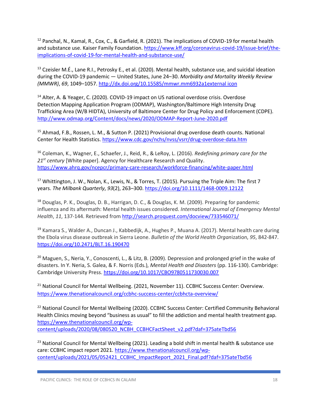$12$  Panchal, N., Kamal, R., Cox, C., & Garfield, R. (2021). The implications of COVID-19 for mental health and substance use. Kaiser Family Foundation[. https://www.kff.org/coronavirus-covid-19/issue-brief/the](https://www.kff.org/coronavirus-covid-19/issue-brief/the-implications-of-covid-19-for-mental-health-and-substance-use/)[implications-of-covid-19-for-mental-health-and-substance-use/](https://www.kff.org/coronavirus-covid-19/issue-brief/the-implications-of-covid-19-for-mental-health-and-substance-use/)

 $13$  Czeisler M.É., Lane R.I., Petrosky E., et al. (2020). Mental health, substance use, and suicidal ideation during the COVID-19 pandemic — United States, June 24–30. *Morbidity and Mortality Weekly Review (MMWR)*, *69*, 1049–1057. http:/[/dx.doi.org/10.15585/mmwr.mm6932a1external](http://dx.doi.org/10.15585/mmwr.mm6932a1) [icon](http://dx.doi.org/10.15585/mmwr.mm6932a1)

<sup>14</sup> Alter, A. & Yeager, C. (2020). COVID-19 impact on US national overdose crisis. Overdose Detection Mapping Application Program (ODMAP), Washington/Baltimore High Intensity Drug Trafficking Area (W/B HIDTA), University of Baltimore Center for Drug Policy and Enforcement (CDPE). <http://www.odmap.org/Content/docs/news/2020/ODMAP-Report-June-2020.pdf>

<sup>15</sup> Ahmad, F.B., Rossen, L. M., & Sutton P. (2021) Provisional drug overdose death counts. National Center for Health Statistics.<https://www.cdc.gov/nchs/nvss/vsrr/drug-overdose-data.htm>

<sup>16</sup> Coleman, K., Wagner, E., Schaefer, J., Reid, R., & LeRoy, L. (2016). *Redefining primary care for the 21st century* [White paper]. Agency for Healthcare Research and Quality. <https://www.ahrq.gov/ncepcr/primary-care-research/workforce-financing/white-paper.html>

<sup>17</sup> Whittington, J. W., Nolan, K., Lewis, N., & Torres, T. (2015). Pursuing the Triple Aim: The first 7 years. *The Milbank Quarterly*, *93*(2), 263–300.<https://doi.org/10.1111/1468-0009.12122>

<sup>18</sup> Douglas, P. K., Douglas, D. B., Harrigan, D. C., & Douglas, K. M. (2009). Preparing for pandemic influenza and its aftermath: Mental health issues considered. *International Journal of Emergency Mental Health*, *11*, 137-144. Retrieved from <http://search.proquest.com/docview/733546071/>

<sup>19</sup> Kamara S., Walder A., Duncan J., Kabbedijk, A., Hughes P., Muana A. (2017). Mental health care during the Ebola virus disease outbreak in Sierra Leone. *Bulletin of the World Health Organ*ization, *95*, 842-847. <https://doi.org/10.2471/BLT.16.190470>

<sup>20</sup> Maguen, S., Neria, Y., Conoscenti, L., & Litz, B. (2009). Depression and prolonged grief in the wake of disasters. In Y. Neria, S. Galea, & F. Norris (Eds.), *Mental Health and Disasters* (pp. 116-130). Cambridge: Cambridge University Press. <https://doi.org/10.1017/CBO9780511730030.007>

<sup>21</sup> National Council for Mental Wellbeing. (2021, November 11). CCBHC Success Center: Overview. <https://www.thenationalcouncil.org/ccbhc-success-center/ccbhcta-overview/>

<sup>22</sup> National Council for Mental Wellbeing (2020). CCBHC Success Center: Certified Community Behavioral Health Clinics moving beyond "business as usual" to fill the addiction and mental health treatment gap. [https://www.thenationalcouncil.org/wp](https://www.thenationalcouncil.org/wp-content/uploads/2020/08/080520_NCBH_CCBHCFactSheet_v2.pdf?daf=375ateTbd56)[content/uploads/2020/08/080520\\_NCBH\\_CCBHCFactSheet\\_v2.pdf?daf=375ateTbd56](https://www.thenationalcouncil.org/wp-content/uploads/2020/08/080520_NCBH_CCBHCFactSheet_v2.pdf?daf=375ateTbd56)

<sup>23</sup> National Council for Mental Wellbeing (2021). Leading a bold shift in mental health & substance use care: CCBHC impact report 2021. [https://www.thenationalcouncil.org/wp](https://www.thenationalcouncil.org/wp-content/uploads/2021/05/052421_CCBHC_ImpactReport_2021_Final.pdf?daf=375ateTbd56)[content/uploads/2021/05/052421\\_CCBHC\\_ImpactReport\\_2021\\_Final.pdf?daf=375ateTbd56](https://www.thenationalcouncil.org/wp-content/uploads/2021/05/052421_CCBHC_ImpactReport_2021_Final.pdf?daf=375ateTbd56)